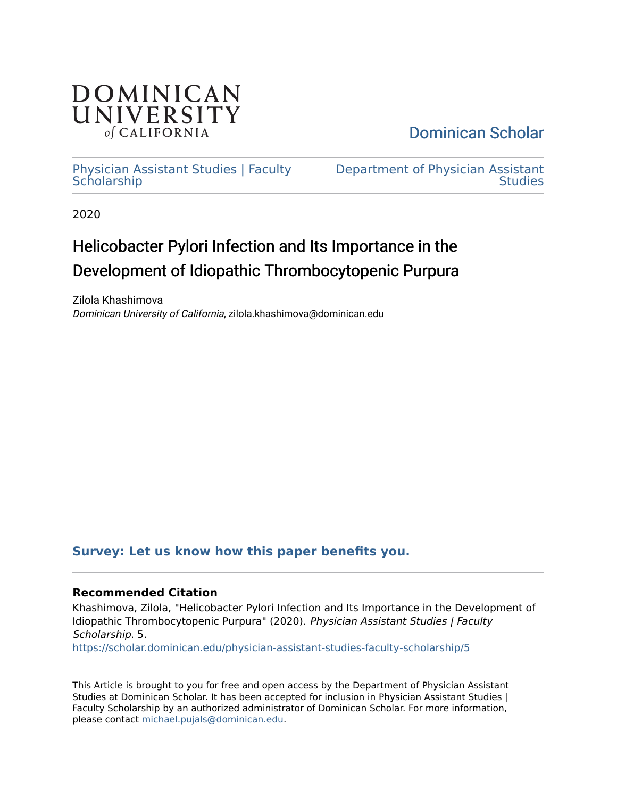

[Dominican Scholar](https://scholar.dominican.edu/) 

## [Physician Assistant Studies | Faculty](https://scholar.dominican.edu/physician-assistant-studies-faculty-scholarship) **Scholarship**

[Department of Physician Assistant](https://scholar.dominican.edu/physician-assistant-studies)  **Studies** 

2020

# Helicobacter Pylori Infection and Its Importance in the Development of Idiopathic Thrombocytopenic Purpura

Zilola Khashimova Dominican University of California, zilola.khashimova@dominican.edu

## **[Survey: Let us know how this paper benefits you.](https://dominican.libwizard.com/dominican-scholar-feedback)**

### **Recommended Citation**

Khashimova, Zilola, "Helicobacter Pylori Infection and Its Importance in the Development of Idiopathic Thrombocytopenic Purpura" (2020). Physician Assistant Studies | Faculty Scholarship. 5.

[https://scholar.dominican.edu/physician-assistant-studies-faculty-scholarship/5](https://scholar.dominican.edu/physician-assistant-studies-faculty-scholarship/5?utm_source=scholar.dominican.edu%2Fphysician-assistant-studies-faculty-scholarship%2F5&utm_medium=PDF&utm_campaign=PDFCoverPages) 

This Article is brought to you for free and open access by the Department of Physician Assistant Studies at Dominican Scholar. It has been accepted for inclusion in Physician Assistant Studies | Faculty Scholarship by an authorized administrator of Dominican Scholar. For more information, please contact [michael.pujals@dominican.edu.](mailto:michael.pujals@dominican.edu)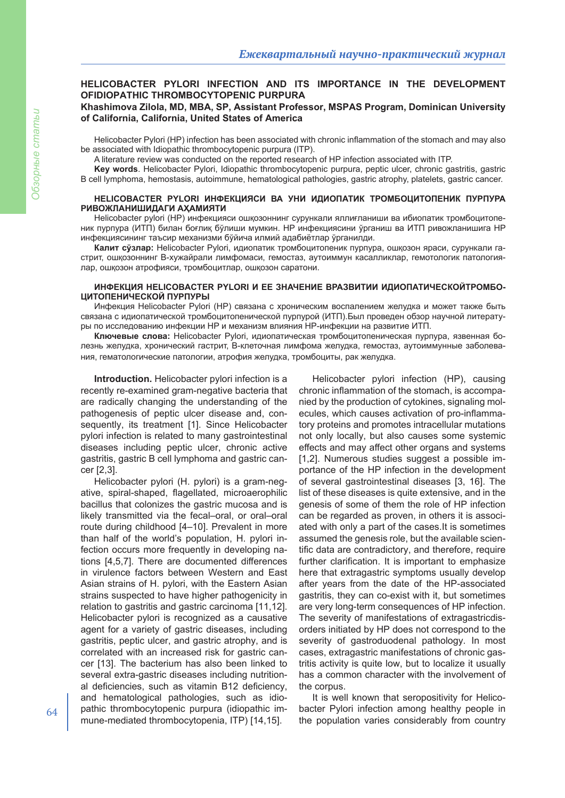## **HELICOBACTER PYLORI INFECTION AND ITS IMPORTANCE IN THE DEVELOPMENT OFIDIOPATHIC THROMBOCYTOPENIC PURPURA**

#### **Khashimova Zilola, MD, MBA, SP, Assistant Professor, MSPAS Program, Dominican University of California, California, United States of America**

Helicobacter Pylori (HP) infection has been associated with chronic inflammation of the stomach and may also be associated with Idiopathic thrombocytopenic purpura (ITP).

A literature review was conducted on the reported research of HP infection associated with ITP.

**Key words**. Helicobacter Pylori, Idiopathic thrombocytopenic purpura, peptic ulcer, chronic gastritis, gastric B cell lymphoma, hemostasis, autoimmune, hematological pathologies, gastric atrophy, platelets, gastric cancer.

#### **HELICOBACTER PYLORI ИНФЕКЦИЯСИ ВА УНИ ИДИОПАТИК ТРОМБОЦИТОПЕНИК ПУРПУРА РИВОЖЛАНИШИДАГИ АҲАМИЯТИ**

Helicobacter pylori (HP) инфекцияси ошқозоннинг сурункали яллиғланиши ва ибиопатик тромбоцитопеник пурпура (ИТП) билан боғлиқ бўлиши мумкин. HP инфекциясини ўрганиш ва ИТП ривожланишига HP инфекциясининг таъсир механизми бўйича илмий адабиётлар ўрганилди.

**Калит сўзлар:** Helicobacter Pylori, идиопатик тромбоцитопеник пурпура, ошқозон яраси, сурункали гастрит, ошқозоннинг B-хужайрали лимфомаси, гемостаз, аутоиммун касалликлар, гемотологик патологиялар, ошқозон атрофияси, тромбоцитлар, ошқозон саратони.

#### **ИНФЕКЦИЯ HELICOBACTER PYLORI И ЕЕ ЗНАЧЕНИЕ ВРАЗВИТИИ ИДИОПАТИЧЕСКОЙТРОМБО-ЦИТОПЕНИЧЕСКОЙ ПУРПУРЫ**

Инфекция Helicobacter Pylori (HP) связана с хроническим воспалением желудка и может также быть связана с идиопатической тромбоцитопенической пурпурой (ИТП).Был проведен обзор научной литературы по исследованию инфекции HP и механизм влияния НР-инфекции на развитие ИТП.

**Ключевые слова:** Helicobacter Pylori, идиопатическая тромбоцитопеническая пурпура, язвенная болезнь желудка, хронический гастрит, B-клеточная лимфома желудка, гемостаз, аутоиммунные заболевания, гематологические патологии, атрофия желудка, тромбоциты, рак желудка.

**Introduction.** Helicobacter pylori infection is a recently re-examined gram-negative bacteria that are radically changing the understanding of the pathogenesis of peptic ulcer disease and, consequently, its treatment [1]. Since Helicobacter pylori infection is related to many gastrointestinal diseases including peptic ulcer, chronic active gastritis, gastric B cell lymphoma and gastric cancer [2,3].

Helicobacter pylori (H. pylori) is a gram-negative, spiral-shaped, flagellated, microaerophilic bacillus that colonizes the gastric mucosa and is likely transmitted via the fecal–oral, or oral–oral route during childhood [4–10]. Prevalent in more than half of the world's population, H. pylori infection occurs more frequently in developing nations [4,5,7]. There are documented differences in virulence factors between Western and East Asian strains of H. pylori, with the Eastern Asian strains suspected to have higher pathogenicity in relation to gastritis and gastric carcinoma [11,12]. Helicobacter pylori is recognized as a causative agent for a variety of gastric diseases, including gastritis, peptic ulcer, and gastric atrophy, and is correlated with an increased risk for gastric cancer [13]. The bacterium has also been linked to several extra-gastric diseases including nutritional deficiencies, such as vitamin B12 deficiency, and hematological pathologies, such as idiopathic thrombocytopenic purpura (idiopathic immune-mediated thrombocytopenia, ITP) [14,15].

Helicobacter pylori infection (HP), causing chronic inflammation of the stomach, is accompanied by the production of cytokines, signaling molecules, which causes activation of pro-inflammatory proteins and promotes intracellular mutations not only locally, but also causes some systemic effects and may affect other organs and systems [1,2]. Numerous studies suggest a possible importance of the HP infection in the development of several gastrointestinal diseases [3, 16]. The list of these diseases is quite extensive, and in the genesis of some of them the role of HP infection can be regarded as proven, in others it is associated with only a part of the cases.It is sometimes assumed the genesis role, but the available scientific data are contradictory, and therefore, require further clarification. It is important to emphasize here that extragastric symptoms usually develop after years from the date of the HP-associated gastritis, they can co-exist with it, but sometimes are very long-term consequences of HP infection. The severity of manifestations of extragastricdisorders initiated by HP does not correspond to the severity of gastroduodenal pathology. In most cases, extragastric manifestations of chronic gastritis activity is quite low, but to localize it usually has a common character with the involvement of the corpus.

It is well known that seropositivity for Helicobacter Pylori infection among healthy people in the population varies considerably from country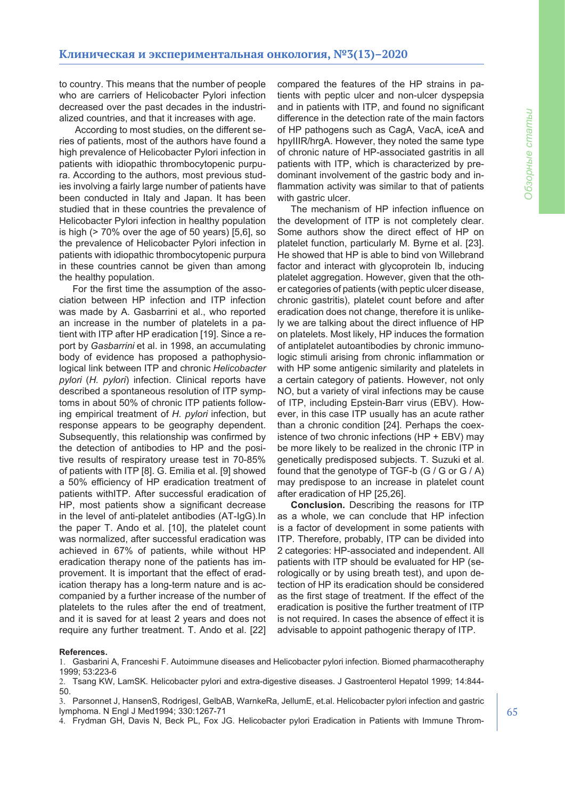to country. This means that the number of people who are carriers of Helicobacter Pylori infection decreased over the past decades in the industrialized countries, and that it increases with age.

According to most studies, on the different series of patients, most of the authors have found a high prevalence of Helicobacter Pylori infection in patients with idiopathic thrombocytopenic purpura. According to the authors, most previous studies involving a fairly large number of patients have been conducted in Italy and Japan. It has been studied that in these countries the prevalence of Helicobacter Pylori infection in healthy population is high (> 70% over the age of 50 years) [5,6], so the prevalence of Helicobacter Pylori infection in patients with idiopathic thrombocytopenic purpura in these countries cannot be given than among the healthy population.

For the first time the assumption of the association between HP infection and ITP infection was made by A. Gasbarrini et al., who reported an increase in the number of platelets in a patient with ITP after HP eradication [19]. Since a report by *Gasbarrini* et al. in 1998, an accumulating body of evidence has proposed a pathophysiological link between ITP and chronic *Helicobacter pylori* (*H. pylori*) infection. Clinical reports have described a spontaneous resolution of ITP symptoms in about 50% of chronic ITP patients following empirical treatment of *H. pylori* infection, but response appears to be geography dependent. Subsequently, this relationship was confirmed by the detection of antibodies to HP and the positive results of respiratory urease test in 70-85% of patients with ITP [8]. G. Emilia et al. [9] showed a 50% efficiency of HP eradication treatment of patients withITP. After successful eradication of HP, most patients show a significant decrease in the level of anti-platelet antibodies (AT-IgG).In the paper T. Ando et al. [10], the platelet count was normalized, after successful eradication was achieved in 67% of patients, while without HP eradication therapy none of the patients has improvement. It is important that the effect of eradication therapy has a long-term nature and is accompanied by a further increase of the number of platelets to the rules after the end of treatment, and it is saved for at least 2 years and does not require any further treatment. T. Ando et al. [22]

compared the features of the HP strains in patients with peptic ulcer and non-ulcer dyspepsia and in patients with ITP, and found no significant difference in the detection rate of the main factors of HP pathogens such as CagA, VacA, iceA and hpyIIIR/hrgA. However, they noted the same type of chronic nature of HP-associated gastritis in all patients with ITP, which is characterized by predominant involvement of the gastric body and inflammation activity was similar to that of patients with gastric ulcer.

The mechanism of HP infection influence on the development of ITP is not completely clear. Some authors show the direct effect of HP on platelet function, particularly M. Byrne et al. [23]. He showed that HP is able to bind von Willebrand factor and interact with glycoprotein Ib, inducing platelet aggregation. However, given that the other categories of patients (with peptic ulcer disease, chronic gastritis), platelet count before and after eradication does not change, therefore it is unlikely we are talking about the direct influence of HP on platelets. Most likely, HP induces the formation of antiplatelet autoantibodies by chronic immunologic stimuli arising from chronic inflammation or with HP some antigenic similarity and platelets in a certain category of patients. However, not only NO, but a variety of viral infections may be cause of ITP, including Epstein-Barr virus (EBV). However, in this case ITP usually has an acute rather than a chronic condition [24]. Perhaps the coexistence of two chronic infections (HP + EBV) may be more likely to be realized in the chronic ITP in genetically predisposed subjects. T. Suzuki et al. found that the genotype of TGF-b (G / G or G / A) may predispose to an increase in platelet count after eradication of HP [25,26].

**Conclusion.** Describing the reasons for ITP as a whole, we can conclude that HP infection is a factor of development in some patients with ITP. Therefore, probably, ITP can be divided into 2 categories: HP-associated and independent. All patients with ITP should be evaluated for HP (serologically or by using breath test), and upon detection of HP its eradication should be considered as the first stage of treatment. If the effect of the eradication is positive the further treatment of ITP is not required. In cases the absence of effect it is advisable to appoint pathogenic therapy of ITP.

#### **References.**

1. Gasbarini A, Franceshi F. Autoimmune diseases and Helicobacter pylori infection. Biomed pharmacotheraphy 1999; 53:223-6

2. Tsang KW, LamSK. Helicobacter pylori and extra-digestive diseases. J Gastroenterol Hepatol 1999; 14:844- 50.

3. Parsonnet J, HansenS, RodrigesI, GelbAB, WarnkeRa, JellumE, et.al. Helicobacter pylori infection and gastric lymphoma. N Engl J Med1994; 330:1267-71

4. Frydman GH, Davis N, Beck PL, Fox JG. Helicobacter pylori Eradication in Patients with Immune Throm-